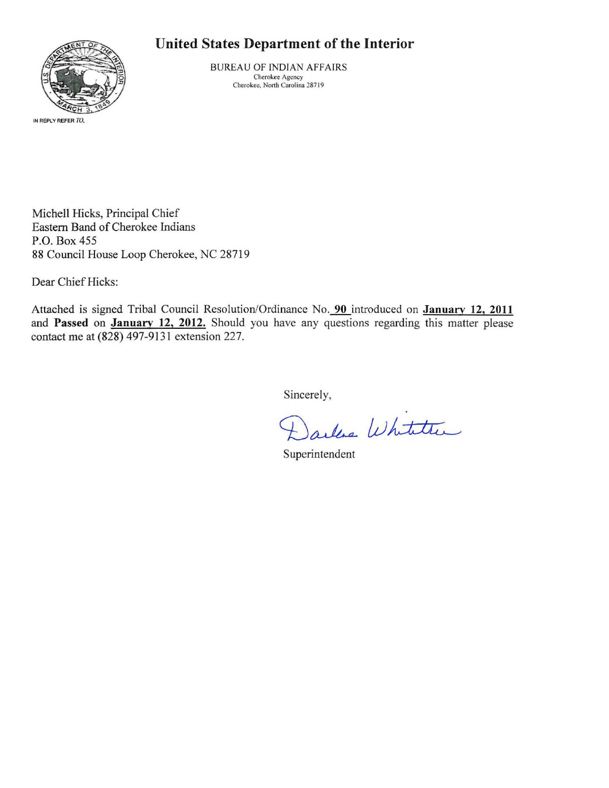## United States Department of the Interior



BUREAU OF INDIAN AFFAIRS Cherokee Agency Cherokee, North Carolina 28719

Michell Hicks, Principal Chief Eastern Band of Cherokee Indians P.O. Box 455 88 Council House Loop Cherokee, NC 28719

Dear Chief Hicks:

Attached is signed Tribal Council Resolution/Ordinance No. 90 introduced on January 12, 2011 and Passed on January 12, 2012. Should you have any questions regarding this matter please contact me at (828) 497-9131 extension 227.

Sincerely,

Jailer Whitether

Superintendent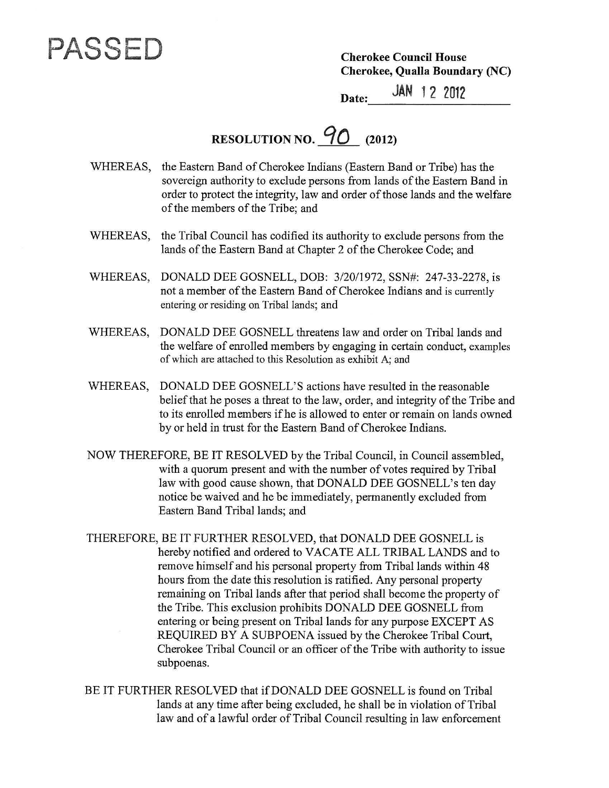## **PASSED** Cherokee Council House

## Cherokee, Qualla Boundary (NC)

Date: **JAN** 12 2012

## **RESOLUTION NO.**  $90 (2012)$

- WHEREAS, the Eastern Band of Cherokee Indians (Eastern Band or Tribe) has the sovereign authority to exclude persons from lands of the Eastern Band in order to protect the integrity, law and order of those lands and the welfare of the members of the Tribe; and
- WHEREAS, the Tribal Council has codified its authority to exclude persons from the lands of the Eastern Band at Chapter 2 of the Cherokee Code; and
- WHEREAS, DONALD DEE GOSNELL, DOB: 3/20/1972, SSN#: 247-33-2278, is not a member of the Eastern Band of Cherokee Indians and is currently entering or residing on Tribal lands; and
- WHEREAS, DONALD DEE GOSNELL threatens law and order on Tribal lands and the welfare of enrolled members by engaging in certain conduct, examples of which are attached to this Resolution as exhibit A; and
- WHEREAS, DONALD DEE GOSNELL'S actions have resulted in the reasonable belief that he poses a threat to the law, order, and integrity of the Tribe and to its enrolled members if he is allowed to enter or remain on lands owned by or held in trust for the Eastern Band of Cherokee Indians.
- NOW THEREFORE, BE IT RESOLVED by the Tribal Council, in Council assembled, with a quorum present and with the number of votes required by Tribal law with good cause shown, that DONALD DEE GOSNELL's ten day notice be waived and he be immediately, permanently excluded from Eastern Band Tribal lands; and
- THEREFORE, BE IT FURTHER RESOLVED, that DONALD DEE GOSNELL is hereby notified and ordered to VACATE ALL TRIBAL LANDS and to remove himself and his personal property from Tribal lands within 48 hours from the date this resolution is ratified. Any personal property remaining on Tribal lands after that period shall become the property of the Tribe. This exclusion prohibits DONALD DEE GOSNELL from entering or being present on Tribal lands for any purpose EXCEPT AS REQUIRED BY A SUBPOENA issued by the Cherokee Tribal Court, Cherokee Tribal Council or an officer of the Tribe with authority to issue subpoenas.
- BE IT FURTHER RESOLVED that if DONALD DEE GOSNELL is found on Tribal lands at any time after being excluded, he shall be in violation of Tribal law and of a lawful order of Tribal Council resulting in law enforcement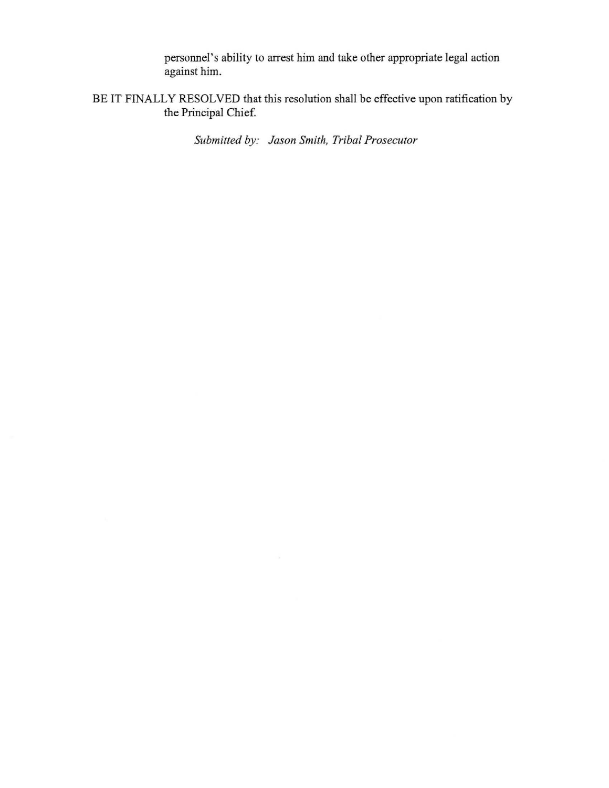personnel's ability to arrest him and take other appropriate legal action against him.

BE IT FINALLY RESOLVED that this resolution shall be effective upon ratification by the Principal Chief.

*Submitted by: Jason Smith, Tribal Prosecutor*